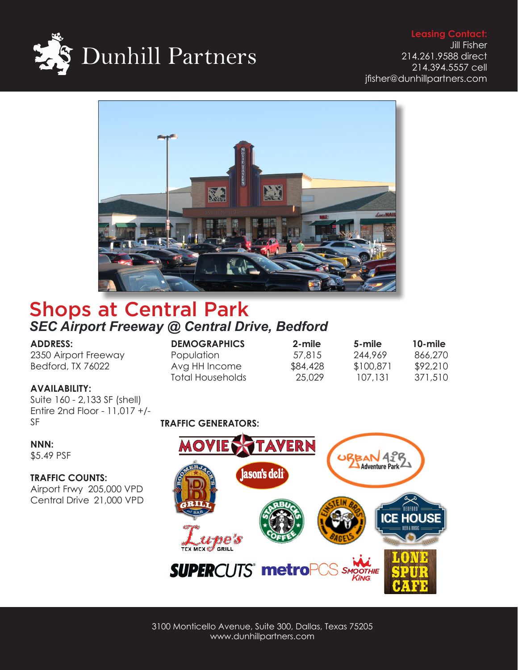



# Shops at Central Park *SEC Airport Freeway @ Central Drive, Bedford*

# **ADDRESS:**

2350 Airport Freeway Bedford, TX 76022

# **AVAILABILITY:**

Suite 160 - 2,133 SF (shell) Entire 2nd Floor - 11,017 +/- SF

#### **NNN:**

\$5.49 PSF

# **TRAFFIC COUNTS:**

Airport Frwy 205,000 VPD Central Drive 21,000 VPD

# **TRAFFIC GENERATORS:**

Total Households



**DEMOGRAPHICS 2-mile 5-mile 10-mile** Population 57,815 244,969 866,270<br>Avg HH Income \$84,428 \$100,871 \$92,210 Avg HH Income  $$84,428$   $$100,871$   $$92,210$ <br>Total Households 25,029 107,131 371,510